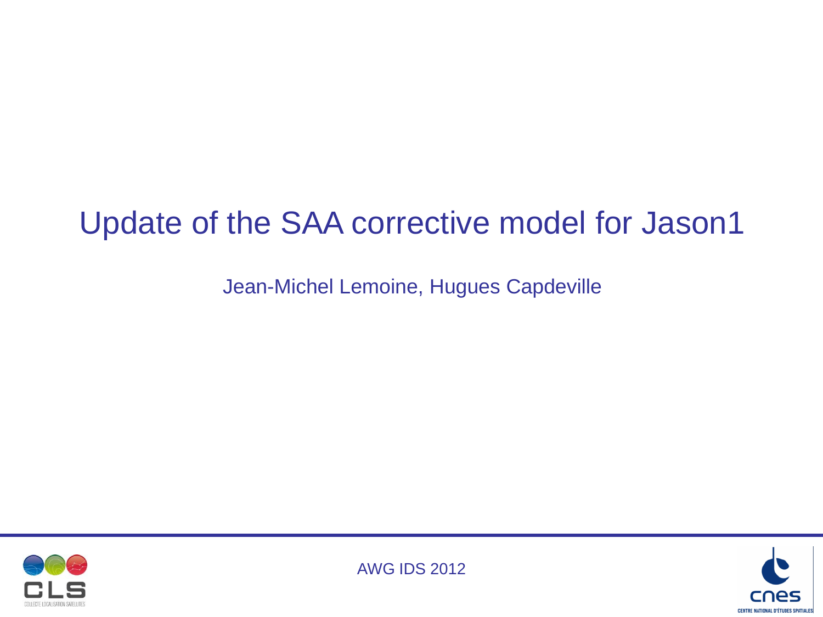# Update of the SAA corrective model for Jason1

Jean-Michel Lemoine, Hugues Capdeville





AWG IDS 2012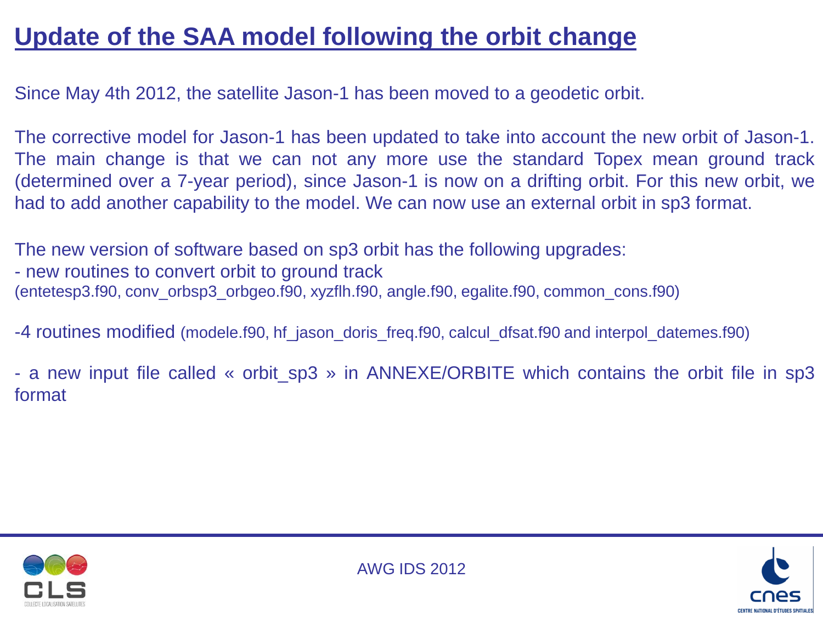## **Update of the SAA model following the orbit change**

Since May 4th 2012, the satellite Jason-1 has been moved to a geodetic orbit.

The corrective model for Jason-1 has been updated to take into account the new orbit of Jason-1. The main change is that we can not any more use the standard Topex mean ground track (determined over a 7-year period), since Jason-1 is now on a drifting orbit. For this new orbit, we had to add another capability to the model. We can now use an external orbit in sp3 format.

The new version of software based on sp3 orbit has the following upgrades: - new routines to convert orbit to ground track (entetesp3.f90, conv\_orbsp3\_orbgeo.f90, xyzflh.f90, angle.f90, egalite.f90, common\_cons.f90)

-4 routines modified (modele.f90, hf\_jason\_doris\_freq.f90, calcul\_dfsat.f90 and interpol\_datemes.f90)

- a new input file called « orbit sp3 » in ANNEXE/ORBITE which contains the orbit file in sp3 format





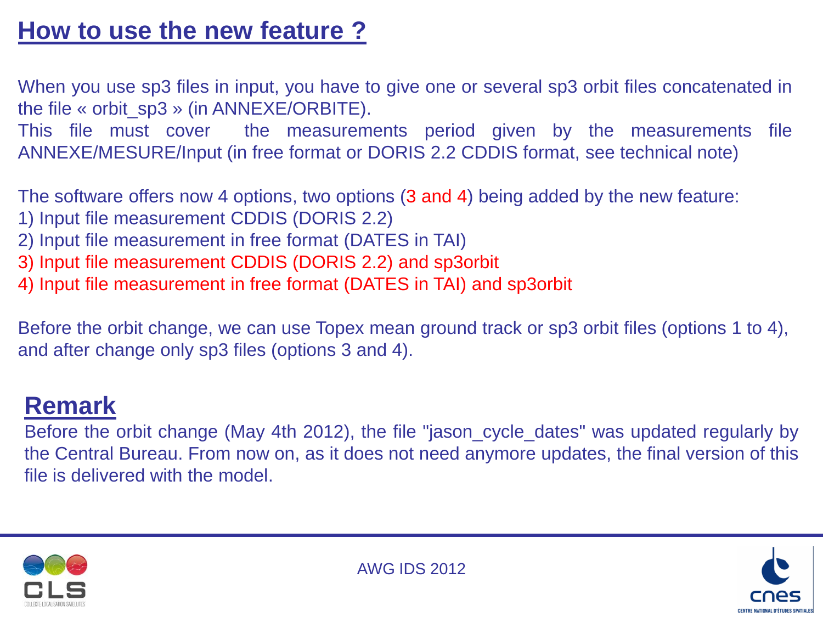### **How to use the new feature ?**

When you use sp3 files in input, you have to give one or several sp3 orbit files concatenated in the file « orbit\_sp3 » (in ANNEXE/ORBITE).

This file must cover the measurements period given by the measurements file ANNEXE/MESURE/Input (in free format or DORIS 2.2 CDDIS format, see technical note)

The software offers now 4 options, two options (3 and 4) being added by the new feature:

- 1) Input file measurement CDDIS (DORIS 2.2)
- 2) Input file measurement in free format (DATES in TAI)
- 3) Input file measurement CDDIS (DORIS 2.2) and sp3orbit
- 4) Input file measurement in free format (DATES in TAI) and sp3orbit

Before the orbit change, we can use Topex mean ground track or sp3 orbit files (options 1 to 4), and after change only sp3 files (options 3 and 4).

#### **Remark**

Before the orbit change (May 4th 2012), the file "jason\_cycle\_dates" was updated regularly by the Central Bureau. From now on, as it does not need anymore updates, the final version of this file is delivered with the model.